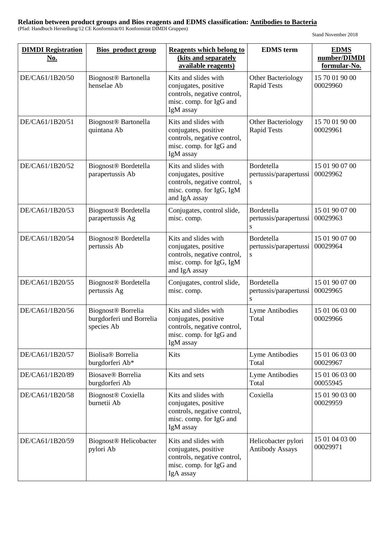| <b>DIMDI</b> Registration<br><u>No.</u> | <b>Bios</b> product group                                                | <b>Reagents which belong to</b><br>(kits and separately<br>available reagents)                                           | <b>EDMS</b> term                                  | <b>EDMS</b><br>number/DIMDI<br>formular-No. |
|-----------------------------------------|--------------------------------------------------------------------------|--------------------------------------------------------------------------------------------------------------------------|---------------------------------------------------|---------------------------------------------|
| DE/CA61/1B20/50                         | Biognost <sup>®</sup> Bartonella<br>henselae Ab                          | Kits and slides with<br>conjugates, positive<br>controls, negative control,<br>misc. comp. for IgG and<br>IgM assay      | Other Bacteriology<br><b>Rapid Tests</b>          | 15 70 01 90 00<br>00029960                  |
| DE/CA61/1B20/51                         | Biognost <sup>®</sup> Bartonella<br>quintana Ab                          | Kits and slides with<br>conjugates, positive<br>controls, negative control,<br>misc. comp. for IgG and<br>IgM assay      | Other Bacteriology<br><b>Rapid Tests</b>          | 15 70 01 90 00<br>00029961                  |
| DE/CA61/1B20/52                         | Biognost <sup>®</sup> Bordetella<br>parapertussis Ab                     | Kits and slides with<br>conjugates, positive<br>controls, negative control,<br>misc. comp. for IgG, IgM<br>and IgA assay | Bordetella<br>pertussis/parapertussi<br>${\bf S}$ | 15 01 90 07 00<br>00029962                  |
| DE/CA61/1B20/53                         | Biognost <sup>®</sup> Bordetella<br>parapertussis Ag                     | Conjugates, control slide,<br>misc. comp.                                                                                | Bordetella<br>pertussis/parapertussi<br>S         | 15 01 90 07 00<br>00029963                  |
| DE/CA61/1B20/54                         | Biognost <sup>®</sup> Bordetella<br>pertussis Ab                         | Kits and slides with<br>conjugates, positive<br>controls, negative control,<br>misc. comp. for IgG, IgM<br>and IgA assay | Bordetella<br>pertussis/parapertussi<br>${\bf S}$ | 15 01 90 07 00<br>00029964                  |
| DE/CA61/1B20/55                         | Biognost <sup>®</sup> Bordetella<br>pertussis Ag                         | Conjugates, control slide,<br>misc. comp.                                                                                | Bordetella<br>pertussis/parapertussi<br>S         | 15 01 90 07 00<br>00029965                  |
| DE/CA61/1B20/56                         | Biognost <sup>®</sup> Borrelia<br>burgdorferi und Borrelia<br>species Ab | Kits and slides with<br>conjugates, positive<br>controls, negative control,<br>misc. comp. for IgG and<br>IgM assay      | Lyme Antibodies<br>Total                          | 15 01 06 03 00<br>00029966                  |
| DE/CA61/1B20/57                         | Biolisa® Borrelia<br>burgdorferi Ab*                                     | Kits                                                                                                                     | Lyme Antibodies<br>Total                          | 15 01 06 03 00<br>00029967                  |
| DE/CA61/1B20/89                         | Biosave <sup>®</sup> Borrelia<br>burgdorferi Ab                          | Kits and sets                                                                                                            | Lyme Antibodies<br>Total                          | 15 01 06 03 00<br>00055945                  |
| DE/CA61/1B20/58                         | <b>Biognost®</b> Coxiella<br>burnetii Ab                                 | Kits and slides with<br>conjugates, positive<br>controls, negative control,<br>misc. comp. for IgG and<br>IgM assay      | Coxiella                                          | 15 01 90 03 00<br>00029959                  |
| DE/CA61/1B20/59                         | Biognost <sup>®</sup> Helicobacter<br>pylori Ab                          | Kits and slides with<br>conjugates, positive<br>controls, negative control,<br>misc. comp. for IgG and<br>IgA assay      | Helicobacter pylori<br><b>Antibody Assays</b>     | 15 01 04 03 00<br>00029971                  |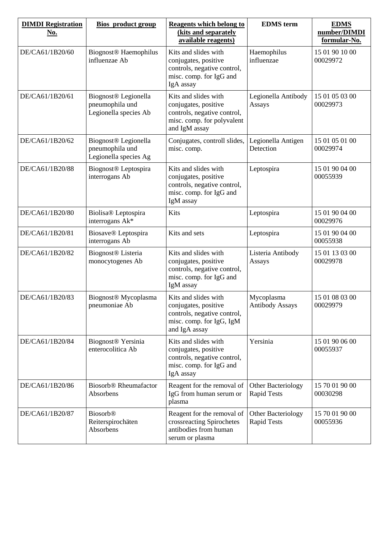| <b>DIMDI</b> Registration<br><u>No.</u> | <b>Bios</b> product group                                                    | <b>Reagents which belong to</b><br>(kits and separately<br>available reagents)                                             | <b>EDMS</b> term                         | <b>EDMS</b><br>number/DIMDI<br>formular-No. |
|-----------------------------------------|------------------------------------------------------------------------------|----------------------------------------------------------------------------------------------------------------------------|------------------------------------------|---------------------------------------------|
| DE/CA61/1B20/60                         | <b>Biognost<sup>®</sup></b> Haemophilus<br>influenzae Ab                     | Kits and slides with<br>conjugates, positive<br>controls, negative control,<br>misc. comp. for IgG and<br>IgA assay        | Haemophilus<br>influenzae                | 15 01 90 10 00<br>00029972                  |
| DE/CA61/1B20/61                         | Biognost <sup>®</sup> Legionella<br>pneumophila und<br>Legionella species Ab | Kits and slides with<br>conjugates, positive<br>controls, negative control,<br>misc. comp. for polyvalent<br>and IgM assay | Legionella Antibody<br>Assays            | 15 01 05 03 00<br>00029973                  |
| DE/CA61/1B20/62                         | Biognost <sup>®</sup> Legionella<br>pneumophila und<br>Legionella species Ag | Conjugates, controll slides,<br>misc. comp.                                                                                | Legionella Antigen<br>Detection          | 15 01 05 01 00<br>00029974                  |
| DE/CA61/1B20/88                         | Biognost <sup>®</sup> Leptospira<br>interrogans Ab                           | Kits and slides with<br>conjugates, positive<br>controls, negative control,<br>misc. comp. for IgG and<br>IgM assay        | Leptospira                               | 15 01 90 04 00<br>00055939                  |
| DE/CA61/1B20/80                         | Biolisa® Leptospira<br>interrogans Ak*                                       | Kits                                                                                                                       | Leptospira                               | 15 01 90 04 00<br>00029976                  |
| DE/CA61/1B20/81                         | Biosave® Leptospira<br>interrogans Ab                                        | Kits and sets                                                                                                              | Leptospira                               | 15 01 90 04 00<br>00055938                  |
| DE/CA61/1B20/82                         | Biognost <sup>®</sup> Listeria<br>monocytogenes Ab                           | Kits and slides with<br>conjugates, positive<br>controls, negative control,<br>misc. comp. for IgG and<br>IgM assay        | Listeria Antibody<br>Assays              | 15 01 13 03 00<br>00029978                  |
| DE/CA61/1B20/83                         | Biognost <sup>®</sup> Mycoplasma<br>pneumoniae Ab                            | Kits and slides with<br>conjugates, positive<br>controls, negative control,<br>misc. comp. for IgG, IgM<br>and IgA assay   | Mycoplasma<br><b>Antibody Assays</b>     | 15 01 08 03 00<br>00029979                  |
| DE/CA61/1B20/84                         | Biognost <sup>®</sup> Yersinia<br>enterocolitica Ab                          | Kits and slides with<br>conjugates, positive<br>controls, negative control,<br>misc. comp. for IgG and<br>IgA assay        | Yersinia                                 | 15 01 90 06 00<br>00055937                  |
| DE/CA61/1B20/86                         | <b>Biosorb<sup>®</sup></b> Rheumafactor<br>Absorbens                         | Reagent for the removal of<br>IgG from human serum or<br>plasma                                                            | Other Bacteriology<br><b>Rapid Tests</b> | 15 70 01 90 00<br>00030298                  |
| DE/CA61/1B20/87                         | <b>Biosorb®</b><br>Reiterspirochäten<br>Absorbens                            | Reagent for the removal of<br>crossreacting Spirochetes<br>antibodies from human<br>serum or plasma                        | Other Bacteriology<br><b>Rapid Tests</b> | 15 70 01 90 00<br>00055936                  |